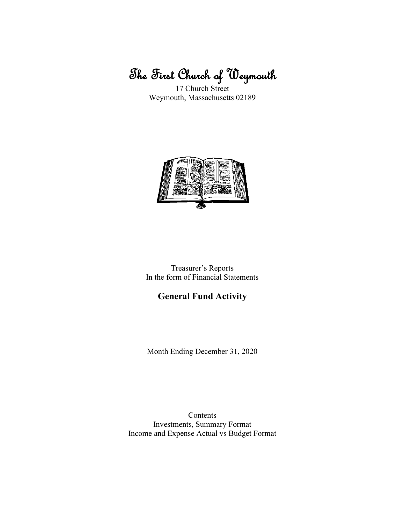# The First Church of Weymouth

17 Church Street Weymouth, Massachusetts 02189



Treasurer's Reports In the form of Financial Statements

# **General Fund Activity**

Month Ending December 31, 2020

Contents Investments, Summary Format Income and Expense Actual vs Budget Format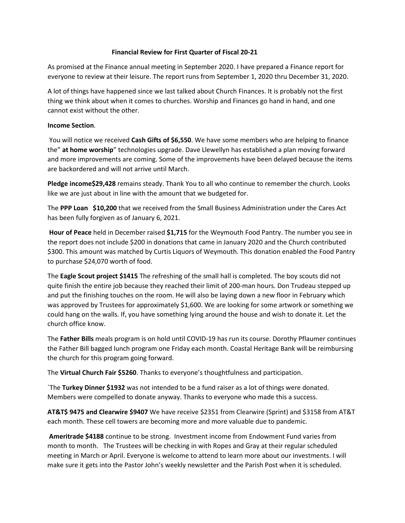#### **Financial Review for First Quarter of Fiscal 20-21**

As promised at the Finance annual meeting in September 2020. I have prepared a Finance report for everyone to review at their leisure. The report runs from September 1, 2020 thru December 31, 2020.

A lot of things have happened since we last talked about Church Finances. It is probably not the first thing we think about when it comes to churches. Worship and Finances go hand in hand, and one cannot exist without the other.

### **Income Section**.

You will notice we received **Cash Gifts of \$6,550**. We have some members who are helping to finance the" **at home worship**" technologies upgrade. Dave Llewellyn has established a plan moving forward and more improvements are coming. Some of the improvements have been delayed because the items are backordered and will not arrive until March.

**Pledge income\$29,428** remains steady. Thank You to all who continue to remember the church. Looks like we are just about in line with the amount that we budgeted for.

The **PPP Loan \$10,200** that we received from the Small Business Administration under the Cares Act has been fully forgiven as of January 6, 2021.

**Hour of Peace** held in December raised **\$1,715** for the Weymouth Food Pantry. The number you see in the report does not include \$200 in donations that came in January 2020 and the Church contributed \$300. This amount was matched by Curtis Liquors of Weymouth. This donation enabled the Food Pantry to purchase \$24,070 worth of food.

The **Eagle Scout project \$1415** The refreshing of the small hall is completed. The boy scouts did not quite finish the entire job because they reached their limit of 200-man hours. Don Trudeau stepped up and put the finishing touches on the room. He will also be laying down a new floor in February which was approved by Trustees for approximately \$1,600. We are looking for some artwork or something we could hang on the walls. If, you have something lying around the house and wish to donate it. Let the church office know.

The **Father Bills** meals program is on hold until COVID-19 has run its course. Dorothy Pflaumer continues the Father Bill bagged lunch program one Friday each month. Coastal Heritage Bank will be reimbursing the church for this program going forward.

The **Virtual Church Fair \$5260**. Thanks to everyone's thoughtfulness and participation.

`The **Turkey Dinner \$1932** was not intended to be a fund raiser as a lot of things were donated. Members were compelled to donate anyway. Thanks to everyone who made this a success.

**AT&T\$ 9475 and Clearwire \$9407** We have receive \$2351 from Clearwire (Sprint) and \$3158 from AT&T each month. These cell towers are becoming more and more valuable due to pandemic.

**Ameritrade \$4188** continue to be strong. Investment income from Endowment Fund varies from month to month. The Trustees will be checking in with Ropes and Gray at their regular scheduled meeting in March or April. Everyone is welcome to attend to learn more about our investments. I will make sure it gets into the Pastor John's weekly newsletter and the Parish Post when it is scheduled.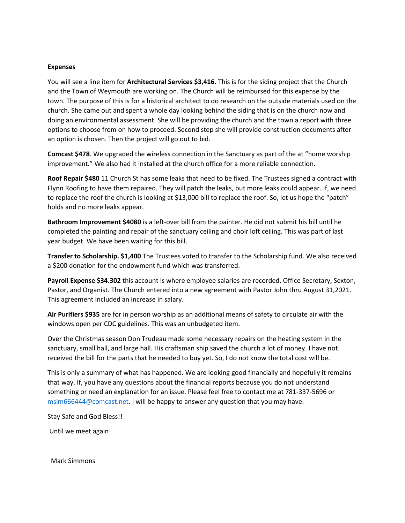#### **Expenses**

You will see a line item for **Architectural Services \$3,416.** This is for the siding project that the Church and the Town of Weymouth are working on. The Church will be reimbursed for this expense by the town. The purpose of this is for a historical architect to do research on the outside materials used on the church. She came out and spent a whole day looking behind the siding that is on the church now and doing an environmental assessment. She will be providing the church and the town a report with three options to choose from on how to proceed. Second step she will provide construction documents after an option is chosen. Then the project will go out to bid.

**Comcast \$478**. We upgraded the wireless connection in the Sanctuary as part of the at "home worship improvement." We also had it installed at the church office for a more reliable connection.

**Roof Repair \$480** 11 Church St has some leaks that need to be fixed. The Trustees signed a contract with Flynn Roofing to have them repaired. They will patch the leaks, but more leaks could appear. If, we need to replace the roof the church is looking at \$13,000 bill to replace the roof. So, let us hope the "patch" holds and no more leaks appear.

**Bathroom Improvement \$4080** is a left-over bill from the painter. He did not submit his bill until he completed the painting and repair of the sanctuary ceiling and choir loft ceiling. This was part of last year budget. We have been waiting for this bill.

**Transfer to Scholarship. \$1,400** The Trustees voted to transfer to the Scholarship fund. We also received a \$200 donation for the endowment fund which was transferred.

**Payroll Expense \$34.302** this account is where employee salaries are recorded. Office Secretary, Sexton, Pastor, and Organist. The Church entered into a new agreement with Pastor John thru August 31,2021. This agreement included an increase in salary.

**Air Purifiers \$935** are for in person worship as an additional means of safety to circulate air with the windows open per CDC guidelines. This was an unbudgeted item.

Over the Christmas season Don Trudeau made some necessary repairs on the heating system in the sanctuary, small hall, and large hall. His craftsman ship saved the church a lot of money. I have not received the bill for the parts that he needed to buy yet. So, I do not know the total cost will be.

This is only a summary of what has happened. We are looking good financially and hopefully it remains that way. If, you have any questions about the financial reports because you do not understand something or need an explanation for an issue. Please feel free to contact me at 781-337-5696 or [msim666444@comcast.net.](mailto:msim666444@comcast.net) I will be happy to answer any question that you may have.

Stay Safe and God Bless!!

Until we meet again!

Mark Simmons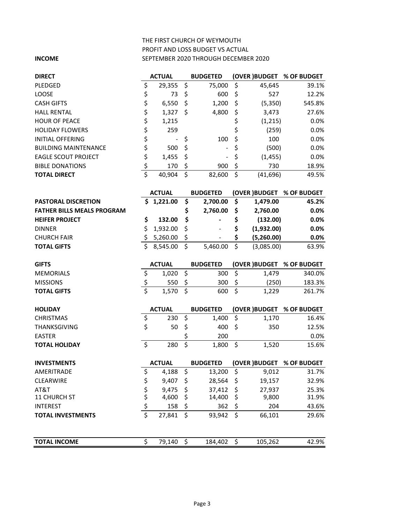## THE FIRST CHURCH OF WEYMOUTH PROFIT AND LOSS BUDGET VS ACTUAL **INCOME** SEPTEMBER 2020 THROUGH DECEMBER 2020

| <b>DIRECT</b>                     | <b>ACTUAL</b>                   |               |                  | <b>BUDGETED</b> |                         |            | (OVER ) BUDGET % OF BUDGET |
|-----------------------------------|---------------------------------|---------------|------------------|-----------------|-------------------------|------------|----------------------------|
| PLEDGED                           | \$                              | 29,355        | \$               | 75,000          | \$                      | 45,645     | 39.1%                      |
| LOOSE                             | \$                              | 73            | \$               | 600             | \$                      | 527        | 12.2%                      |
| <b>CASH GIFTS</b>                 |                                 | 6,550         | \$               | 1,200           | \$                      | (5,350)    | 545.8%                     |
| <b>HALL RENTAL</b>                | \$\$\$                          | 1,327         | \$               | 4,800           | \$                      | 3,473      | 27.6%                      |
| <b>HOUR OF PEACE</b>              |                                 | 1,215         |                  |                 | \$                      | (1, 215)   | 0.0%                       |
| <b>HOLIDAY FLOWERS</b>            | \$                              | 259           |                  |                 | \$                      | (259)      | 0.0%                       |
| <b>INITIAL OFFERING</b>           |                                 |               | \$               | 100             | \$                      | 100        | 0.0%                       |
| <b>BUILDING MAINTENANCE</b>       |                                 | 500           | \$               |                 | \$                      | (500)      | 0.0%                       |
| <b>EAGLE SCOUT PROJECT</b>        |                                 | 1,455         | \$               |                 | \$                      | (1, 455)   | 0.0%                       |
| <b>BIBLE DONATIONS</b>            | \$\$\$\$                        | 170           | \$               | 900             | \$                      | 730        | 18.9%                      |
| <b>TOTAL DIRECT</b>               | $\overline{\boldsymbol{\zeta}}$ | 40,904        | \$               | 82,600          | \$                      | (41, 696)  | 49.5%                      |
|                                   |                                 | <b>ACTUAL</b> |                  | <b>BUDGETED</b> |                         |            | (OVER) BUDGET % OF BUDGET  |
| <b>PASTORAL DISCRETION</b>        |                                 | \$1,221.00    | \$               | 2,700.00        | \$                      | 1,479.00   | 45.2%                      |
| <b>FATHER BILLS MEALS PROGRAM</b> |                                 |               | \$               | 2,760.00        | \$                      | 2,760.00   | 0.0%                       |
| <b>HEIFER PROJECT</b>             | \$                              | 132.00        | \$               |                 | \$                      | (132.00)   | 0.0%                       |
| <b>DINNER</b>                     | \$                              | 1,932.00      | \$               |                 | \$                      | (1,932.00) | 0.0%                       |
| <b>CHURCH FAIR</b>                | \$                              | 5,260.00      | \$               |                 | \$                      | (5,260.00) | 0.0%                       |
| <b>TOTAL GIFTS</b>                | Ś                               | 8,545.00      | $\overline{\xi}$ | 5,460.00        | $\overline{\mathsf{S}}$ | (3,085.00) | 63.9%                      |
|                                   |                                 |               |                  |                 |                         |            |                            |
| <b>GIFTS</b>                      |                                 | <b>ACTUAL</b> |                  | <b>BUDGETED</b> |                         |            | (OVER ) BUDGET % OF BUDGET |
| <b>MEMORIALS</b>                  | \$                              | 1,020         | \$               | 300             | \$                      | 1,479      | 340.0%                     |
| <b>MISSIONS</b>                   |                                 | 550           | \$               | 300             | \$                      | (250)      | 183.3%                     |
| <b>TOTAL GIFTS</b>                | $rac{5}{5}$                     | 1,570         | \$               | 600             | $\overline{\xi}$        | 1,229      | 261.7%                     |
| <b>HOLIDAY</b>                    |                                 | <b>ACTUAL</b> |                  | <b>BUDGETED</b> |                         |            | (OVER ) BUDGET % OF BUDGET |
| <b>CHRISTMAS</b>                  | \$                              | 230           | \$               | 1,400           | \$                      | 1,170      | 16.4%                      |
| THANKSGIVING                      | \$                              | 50            | \$               | 400             | \$                      | 350        | 12.5%                      |
| <b>EASTER</b>                     |                                 |               | \$               | 200             |                         |            | 0.0%                       |
| <b>TOTAL HOLIDAY</b>              | \$                              | 280           | $\overline{\xi}$ | 1,800           | \$                      | 1,520      | 15.6%                      |
| <b>INVESTMENTS</b>                |                                 | <b>ACTUAL</b> |                  | <b>BUDGETED</b> |                         |            | (OVER) BUDGET % OF BUDGET  |
| AMERITRADE                        | \$                              | 4,188         | \$               | 13,200          | \$                      | 9,012      | 31.7%                      |
| CLEARWIRE                         |                                 | 9,407         | \$               | 28,564          | \$                      | 19,157     | 32.9%                      |
| AT&T                              | \$                              | 9,475         | \$               | 37,412          | \$                      | 27,937     | 25.3%                      |
| 11 CHURCH ST                      |                                 | 4,600         | \$               | 14,400          | \$                      | 9,800      | 31.9%                      |
| <b>INTEREST</b>                   | \$\$\$                          | 158           | \$               | 362             | \$                      | 204        | 43.6%                      |
| <b>TOTAL INVESTMENTS</b>          | $\overline{\xi}$                | 27,841        | \$               | 93,942          | \$                      | 66,101     | 29.6%                      |
| <b>TOTAL INCOME</b>               | \$                              | 79,140        | $\zeta$          | 184,402         | \$                      | 105,262    | 42.9%                      |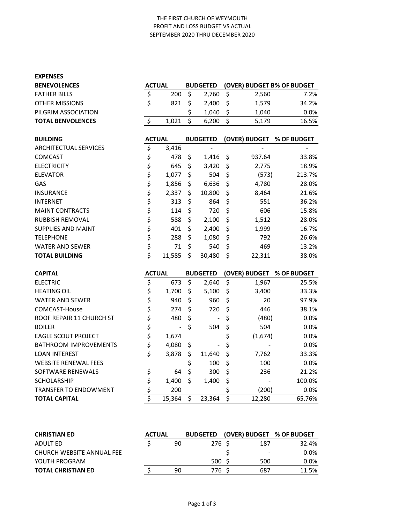#### THE FIRST CHURCH OF WEYMOUTH PROFIT AND LOSS BUDGET VS ACTUAL SEPTEMBER 2020 THRU DECEMBER 2020

| <b>ACTUAL</b><br><b>BUDGETED</b><br>(OVER) BUDGET B% OF BUDGET<br><b>BENEVOLENCES</b><br>\$<br>\$<br>\$<br>2,760<br><b>FATHER BILLS</b><br>200<br>2,560<br>7.2%<br>\$<br>\$<br>\$<br>821<br>1,579<br><b>OTHER MISSIONS</b><br>2,400<br>34.2%<br>\$<br>\$<br>0.0%<br>PILGRIM ASSOCIATION<br>1,040<br>1,040<br>$\overline{\mathsf{S}}$<br>\$<br>\$<br><b>TOTAL BENVOLENCES</b><br>1,021<br>6,200<br>5,179<br>16.5%<br><b>BUILDING</b><br><b>ACTUAL</b><br><b>BUDGETED</b><br>(OVER) BUDGET<br>% OF BUDGET<br>\$<br>3,416<br><b>ARCHITECTUAL SERVICES</b><br>\$<br><b>COMCAST</b><br>478<br>\$<br>\$<br>33.8%<br>1,416<br>937.64<br>\$<br>\$<br>\$<br><b>ELECTRICITY</b><br>645<br>3,420<br>2,775<br>18.9%<br>\$<br>\$<br>\$<br>504<br>1,077<br>(573)<br>213.7%<br><b>ELEVATOR</b><br>\$<br>\$<br>\$<br>GAS<br>1,856<br>6,636<br>4,780<br>28.0%<br>\$<br>\$<br><b>INSURANCE</b><br>2,337<br>\$<br>10,800<br>8,464<br>21.6%<br>\$<br>\$<br>\$<br>313<br>864<br><b>INTERNET</b><br>551<br>36.2%<br>\$<br>\$<br>\$<br>720<br>606<br><b>MAINT CONTRACTS</b><br>114<br>15.8%<br>\$<br>\$<br>\$<br>588<br>1,512<br>RUBBISH REMOVAL<br>2,100<br>28.0%<br>\$<br>\$<br>\$<br>401<br><b>SUPPLIES AND MAINT</b><br>2,400<br>1,999<br>16.7%<br>\$<br>\$<br>\$<br>288<br>792<br><b>TELEPHONE</b><br>1,080<br>26.6%<br>\$<br>\$<br>\$<br>71<br>540<br>13.2%<br><b>WATER AND SEWER</b><br>469<br>$\overline{\boldsymbol{\zeta}}$<br>\$<br>\$<br><b>TOTAL BUILDING</b><br>11,585<br>30,480<br>22,311<br>38.0%<br><b>BUDGETED</b><br>(OVER) BUDGET<br><b>CAPITAL</b><br><b>ACTUAL</b><br>% OF BUDGET<br>\$<br>\$<br>\$<br><b>ELECTRIC</b><br>673<br>2,640<br>1,967<br>25.5%<br>\$<br>\$<br>\$<br><b>HEATING OIL</b><br>1,700<br>5,100<br>3,400<br>33.3%<br>\$<br>\$<br>\$<br>960<br>20<br><b>WATER AND SEWER</b><br>940<br>97.9%<br>\$<br>\$<br>\$<br>274<br>38.1%<br>COMCAST-House<br>720<br>446<br>\$<br>\$<br>\$<br>ROOF REPAIR 11 CHURCH ST<br>480<br>0.0%<br>(480)<br>$\overline{\phantom{0}}$<br>\$<br>\$<br>\$<br><b>BOILER</b><br>504<br>504<br>0.0%<br>\$<br>\$<br><b>EAGLE SCOUT PROJECT</b><br>1,674<br>(1,674)<br>0.0%<br>\$<br>\$<br><b>BATHROOM IMPROVEMENTS</b><br>\$<br>4,080<br>0.0%<br>\$<br>\$<br>\$<br>33.3%<br><b>LOAN INTEREST</b><br>3,878<br>11,640<br>7,762<br>\$<br>\$<br>WEBSITE RENEWAL FEES<br>100<br>100<br>0.0%<br>\$<br>\$<br>\$<br>SOFTWARE RENEWALS<br>64<br>300<br>236<br>21.2%<br>\$<br>\$<br>\$<br>1,400<br><b>SCHOLARSHIP</b><br>1,400<br>100.0%<br>\$<br>\$<br>TRANSFER TO ENDOWMENT<br>200<br>(200)<br>0.0%<br>$\overline{\boldsymbol{\zeta}}$<br>$\overline{\xi}$<br>\$<br><b>TOTAL CAPITAL</b><br>15,364<br>23,364<br>12,280<br>65.76% | <b>EXPENSES</b> |  |  |  |  |
|--------------------------------------------------------------------------------------------------------------------------------------------------------------------------------------------------------------------------------------------------------------------------------------------------------------------------------------------------------------------------------------------------------------------------------------------------------------------------------------------------------------------------------------------------------------------------------------------------------------------------------------------------------------------------------------------------------------------------------------------------------------------------------------------------------------------------------------------------------------------------------------------------------------------------------------------------------------------------------------------------------------------------------------------------------------------------------------------------------------------------------------------------------------------------------------------------------------------------------------------------------------------------------------------------------------------------------------------------------------------------------------------------------------------------------------------------------------------------------------------------------------------------------------------------------------------------------------------------------------------------------------------------------------------------------------------------------------------------------------------------------------------------------------------------------------------------------------------------------------------------------------------------------------------------------------------------------------------------------------------------------------------------------------------------------------------------------------------------------------------------------------------------------------------------------------------------------------------------------------------------------------------------------------------------------------------------------------------------------------------------------------------------------------------------------------------------------------------------------------------------------------------------------------------------------------------------------------------------------------------------------------------------------------|-----------------|--|--|--|--|
|                                                                                                                                                                                                                                                                                                                                                                                                                                                                                                                                                                                                                                                                                                                                                                                                                                                                                                                                                                                                                                                                                                                                                                                                                                                                                                                                                                                                                                                                                                                                                                                                                                                                                                                                                                                                                                                                                                                                                                                                                                                                                                                                                                                                                                                                                                                                                                                                                                                                                                                                                                                                                                                              |                 |  |  |  |  |
|                                                                                                                                                                                                                                                                                                                                                                                                                                                                                                                                                                                                                                                                                                                                                                                                                                                                                                                                                                                                                                                                                                                                                                                                                                                                                                                                                                                                                                                                                                                                                                                                                                                                                                                                                                                                                                                                                                                                                                                                                                                                                                                                                                                                                                                                                                                                                                                                                                                                                                                                                                                                                                                              |                 |  |  |  |  |
|                                                                                                                                                                                                                                                                                                                                                                                                                                                                                                                                                                                                                                                                                                                                                                                                                                                                                                                                                                                                                                                                                                                                                                                                                                                                                                                                                                                                                                                                                                                                                                                                                                                                                                                                                                                                                                                                                                                                                                                                                                                                                                                                                                                                                                                                                                                                                                                                                                                                                                                                                                                                                                                              |                 |  |  |  |  |
|                                                                                                                                                                                                                                                                                                                                                                                                                                                                                                                                                                                                                                                                                                                                                                                                                                                                                                                                                                                                                                                                                                                                                                                                                                                                                                                                                                                                                                                                                                                                                                                                                                                                                                                                                                                                                                                                                                                                                                                                                                                                                                                                                                                                                                                                                                                                                                                                                                                                                                                                                                                                                                                              |                 |  |  |  |  |
|                                                                                                                                                                                                                                                                                                                                                                                                                                                                                                                                                                                                                                                                                                                                                                                                                                                                                                                                                                                                                                                                                                                                                                                                                                                                                                                                                                                                                                                                                                                                                                                                                                                                                                                                                                                                                                                                                                                                                                                                                                                                                                                                                                                                                                                                                                                                                                                                                                                                                                                                                                                                                                                              |                 |  |  |  |  |
|                                                                                                                                                                                                                                                                                                                                                                                                                                                                                                                                                                                                                                                                                                                                                                                                                                                                                                                                                                                                                                                                                                                                                                                                                                                                                                                                                                                                                                                                                                                                                                                                                                                                                                                                                                                                                                                                                                                                                                                                                                                                                                                                                                                                                                                                                                                                                                                                                                                                                                                                                                                                                                                              |                 |  |  |  |  |
|                                                                                                                                                                                                                                                                                                                                                                                                                                                                                                                                                                                                                                                                                                                                                                                                                                                                                                                                                                                                                                                                                                                                                                                                                                                                                                                                                                                                                                                                                                                                                                                                                                                                                                                                                                                                                                                                                                                                                                                                                                                                                                                                                                                                                                                                                                                                                                                                                                                                                                                                                                                                                                                              |                 |  |  |  |  |
|                                                                                                                                                                                                                                                                                                                                                                                                                                                                                                                                                                                                                                                                                                                                                                                                                                                                                                                                                                                                                                                                                                                                                                                                                                                                                                                                                                                                                                                                                                                                                                                                                                                                                                                                                                                                                                                                                                                                                                                                                                                                                                                                                                                                                                                                                                                                                                                                                                                                                                                                                                                                                                                              |                 |  |  |  |  |
|                                                                                                                                                                                                                                                                                                                                                                                                                                                                                                                                                                                                                                                                                                                                                                                                                                                                                                                                                                                                                                                                                                                                                                                                                                                                                                                                                                                                                                                                                                                                                                                                                                                                                                                                                                                                                                                                                                                                                                                                                                                                                                                                                                                                                                                                                                                                                                                                                                                                                                                                                                                                                                                              |                 |  |  |  |  |
|                                                                                                                                                                                                                                                                                                                                                                                                                                                                                                                                                                                                                                                                                                                                                                                                                                                                                                                                                                                                                                                                                                                                                                                                                                                                                                                                                                                                                                                                                                                                                                                                                                                                                                                                                                                                                                                                                                                                                                                                                                                                                                                                                                                                                                                                                                                                                                                                                                                                                                                                                                                                                                                              |                 |  |  |  |  |
|                                                                                                                                                                                                                                                                                                                                                                                                                                                                                                                                                                                                                                                                                                                                                                                                                                                                                                                                                                                                                                                                                                                                                                                                                                                                                                                                                                                                                                                                                                                                                                                                                                                                                                                                                                                                                                                                                                                                                                                                                                                                                                                                                                                                                                                                                                                                                                                                                                                                                                                                                                                                                                                              |                 |  |  |  |  |
|                                                                                                                                                                                                                                                                                                                                                                                                                                                                                                                                                                                                                                                                                                                                                                                                                                                                                                                                                                                                                                                                                                                                                                                                                                                                                                                                                                                                                                                                                                                                                                                                                                                                                                                                                                                                                                                                                                                                                                                                                                                                                                                                                                                                                                                                                                                                                                                                                                                                                                                                                                                                                                                              |                 |  |  |  |  |
|                                                                                                                                                                                                                                                                                                                                                                                                                                                                                                                                                                                                                                                                                                                                                                                                                                                                                                                                                                                                                                                                                                                                                                                                                                                                                                                                                                                                                                                                                                                                                                                                                                                                                                                                                                                                                                                                                                                                                                                                                                                                                                                                                                                                                                                                                                                                                                                                                                                                                                                                                                                                                                                              |                 |  |  |  |  |
|                                                                                                                                                                                                                                                                                                                                                                                                                                                                                                                                                                                                                                                                                                                                                                                                                                                                                                                                                                                                                                                                                                                                                                                                                                                                                                                                                                                                                                                                                                                                                                                                                                                                                                                                                                                                                                                                                                                                                                                                                                                                                                                                                                                                                                                                                                                                                                                                                                                                                                                                                                                                                                                              |                 |  |  |  |  |
|                                                                                                                                                                                                                                                                                                                                                                                                                                                                                                                                                                                                                                                                                                                                                                                                                                                                                                                                                                                                                                                                                                                                                                                                                                                                                                                                                                                                                                                                                                                                                                                                                                                                                                                                                                                                                                                                                                                                                                                                                                                                                                                                                                                                                                                                                                                                                                                                                                                                                                                                                                                                                                                              |                 |  |  |  |  |
|                                                                                                                                                                                                                                                                                                                                                                                                                                                                                                                                                                                                                                                                                                                                                                                                                                                                                                                                                                                                                                                                                                                                                                                                                                                                                                                                                                                                                                                                                                                                                                                                                                                                                                                                                                                                                                                                                                                                                                                                                                                                                                                                                                                                                                                                                                                                                                                                                                                                                                                                                                                                                                                              |                 |  |  |  |  |
|                                                                                                                                                                                                                                                                                                                                                                                                                                                                                                                                                                                                                                                                                                                                                                                                                                                                                                                                                                                                                                                                                                                                                                                                                                                                                                                                                                                                                                                                                                                                                                                                                                                                                                                                                                                                                                                                                                                                                                                                                                                                                                                                                                                                                                                                                                                                                                                                                                                                                                                                                                                                                                                              |                 |  |  |  |  |
|                                                                                                                                                                                                                                                                                                                                                                                                                                                                                                                                                                                                                                                                                                                                                                                                                                                                                                                                                                                                                                                                                                                                                                                                                                                                                                                                                                                                                                                                                                                                                                                                                                                                                                                                                                                                                                                                                                                                                                                                                                                                                                                                                                                                                                                                                                                                                                                                                                                                                                                                                                                                                                                              |                 |  |  |  |  |
|                                                                                                                                                                                                                                                                                                                                                                                                                                                                                                                                                                                                                                                                                                                                                                                                                                                                                                                                                                                                                                                                                                                                                                                                                                                                                                                                                                                                                                                                                                                                                                                                                                                                                                                                                                                                                                                                                                                                                                                                                                                                                                                                                                                                                                                                                                                                                                                                                                                                                                                                                                                                                                                              |                 |  |  |  |  |
|                                                                                                                                                                                                                                                                                                                                                                                                                                                                                                                                                                                                                                                                                                                                                                                                                                                                                                                                                                                                                                                                                                                                                                                                                                                                                                                                                                                                                                                                                                                                                                                                                                                                                                                                                                                                                                                                                                                                                                                                                                                                                                                                                                                                                                                                                                                                                                                                                                                                                                                                                                                                                                                              |                 |  |  |  |  |
|                                                                                                                                                                                                                                                                                                                                                                                                                                                                                                                                                                                                                                                                                                                                                                                                                                                                                                                                                                                                                                                                                                                                                                                                                                                                                                                                                                                                                                                                                                                                                                                                                                                                                                                                                                                                                                                                                                                                                                                                                                                                                                                                                                                                                                                                                                                                                                                                                                                                                                                                                                                                                                                              |                 |  |  |  |  |
|                                                                                                                                                                                                                                                                                                                                                                                                                                                                                                                                                                                                                                                                                                                                                                                                                                                                                                                                                                                                                                                                                                                                                                                                                                                                                                                                                                                                                                                                                                                                                                                                                                                                                                                                                                                                                                                                                                                                                                                                                                                                                                                                                                                                                                                                                                                                                                                                                                                                                                                                                                                                                                                              |                 |  |  |  |  |
|                                                                                                                                                                                                                                                                                                                                                                                                                                                                                                                                                                                                                                                                                                                                                                                                                                                                                                                                                                                                                                                                                                                                                                                                                                                                                                                                                                                                                                                                                                                                                                                                                                                                                                                                                                                                                                                                                                                                                                                                                                                                                                                                                                                                                                                                                                                                                                                                                                                                                                                                                                                                                                                              |                 |  |  |  |  |
|                                                                                                                                                                                                                                                                                                                                                                                                                                                                                                                                                                                                                                                                                                                                                                                                                                                                                                                                                                                                                                                                                                                                                                                                                                                                                                                                                                                                                                                                                                                                                                                                                                                                                                                                                                                                                                                                                                                                                                                                                                                                                                                                                                                                                                                                                                                                                                                                                                                                                                                                                                                                                                                              |                 |  |  |  |  |
|                                                                                                                                                                                                                                                                                                                                                                                                                                                                                                                                                                                                                                                                                                                                                                                                                                                                                                                                                                                                                                                                                                                                                                                                                                                                                                                                                                                                                                                                                                                                                                                                                                                                                                                                                                                                                                                                                                                                                                                                                                                                                                                                                                                                                                                                                                                                                                                                                                                                                                                                                                                                                                                              |                 |  |  |  |  |
|                                                                                                                                                                                                                                                                                                                                                                                                                                                                                                                                                                                                                                                                                                                                                                                                                                                                                                                                                                                                                                                                                                                                                                                                                                                                                                                                                                                                                                                                                                                                                                                                                                                                                                                                                                                                                                                                                                                                                                                                                                                                                                                                                                                                                                                                                                                                                                                                                                                                                                                                                                                                                                                              |                 |  |  |  |  |
|                                                                                                                                                                                                                                                                                                                                                                                                                                                                                                                                                                                                                                                                                                                                                                                                                                                                                                                                                                                                                                                                                                                                                                                                                                                                                                                                                                                                                                                                                                                                                                                                                                                                                                                                                                                                                                                                                                                                                                                                                                                                                                                                                                                                                                                                                                                                                                                                                                                                                                                                                                                                                                                              |                 |  |  |  |  |
|                                                                                                                                                                                                                                                                                                                                                                                                                                                                                                                                                                                                                                                                                                                                                                                                                                                                                                                                                                                                                                                                                                                                                                                                                                                                                                                                                                                                                                                                                                                                                                                                                                                                                                                                                                                                                                                                                                                                                                                                                                                                                                                                                                                                                                                                                                                                                                                                                                                                                                                                                                                                                                                              |                 |  |  |  |  |
|                                                                                                                                                                                                                                                                                                                                                                                                                                                                                                                                                                                                                                                                                                                                                                                                                                                                                                                                                                                                                                                                                                                                                                                                                                                                                                                                                                                                                                                                                                                                                                                                                                                                                                                                                                                                                                                                                                                                                                                                                                                                                                                                                                                                                                                                                                                                                                                                                                                                                                                                                                                                                                                              |                 |  |  |  |  |
|                                                                                                                                                                                                                                                                                                                                                                                                                                                                                                                                                                                                                                                                                                                                                                                                                                                                                                                                                                                                                                                                                                                                                                                                                                                                                                                                                                                                                                                                                                                                                                                                                                                                                                                                                                                                                                                                                                                                                                                                                                                                                                                                                                                                                                                                                                                                                                                                                                                                                                                                                                                                                                                              |                 |  |  |  |  |
|                                                                                                                                                                                                                                                                                                                                                                                                                                                                                                                                                                                                                                                                                                                                                                                                                                                                                                                                                                                                                                                                                                                                                                                                                                                                                                                                                                                                                                                                                                                                                                                                                                                                                                                                                                                                                                                                                                                                                                                                                                                                                                                                                                                                                                                                                                                                                                                                                                                                                                                                                                                                                                                              |                 |  |  |  |  |
|                                                                                                                                                                                                                                                                                                                                                                                                                                                                                                                                                                                                                                                                                                                                                                                                                                                                                                                                                                                                                                                                                                                                                                                                                                                                                                                                                                                                                                                                                                                                                                                                                                                                                                                                                                                                                                                                                                                                                                                                                                                                                                                                                                                                                                                                                                                                                                                                                                                                                                                                                                                                                                                              |                 |  |  |  |  |
|                                                                                                                                                                                                                                                                                                                                                                                                                                                                                                                                                                                                                                                                                                                                                                                                                                                                                                                                                                                                                                                                                                                                                                                                                                                                                                                                                                                                                                                                                                                                                                                                                                                                                                                                                                                                                                                                                                                                                                                                                                                                                                                                                                                                                                                                                                                                                                                                                                                                                                                                                                                                                                                              |                 |  |  |  |  |
|                                                                                                                                                                                                                                                                                                                                                                                                                                                                                                                                                                                                                                                                                                                                                                                                                                                                                                                                                                                                                                                                                                                                                                                                                                                                                                                                                                                                                                                                                                                                                                                                                                                                                                                                                                                                                                                                                                                                                                                                                                                                                                                                                                                                                                                                                                                                                                                                                                                                                                                                                                                                                                                              |                 |  |  |  |  |

| <b>CHRISTIAN ED</b>       | <b>ACTUAL</b> |    | <b>BUDGETED</b> |                          | (OVER) BUDGET % OF BUDGET |
|---------------------------|---------------|----|-----------------|--------------------------|---------------------------|
| ADULT ED                  |               | 90 | 276 S           | 187                      | 32.4%                     |
| CHURCH WEBSITE ANNUAL FEE |               |    |                 | $\overline{\phantom{a}}$ | $0.0\%$                   |
| YOUTH PROGRAM             |               |    | 500 S           | 500                      | $0.0\%$                   |
| <b>TOTAL CHRISTIAN ED</b> |               | 90 | 776 S           | 687                      | 11.5%                     |